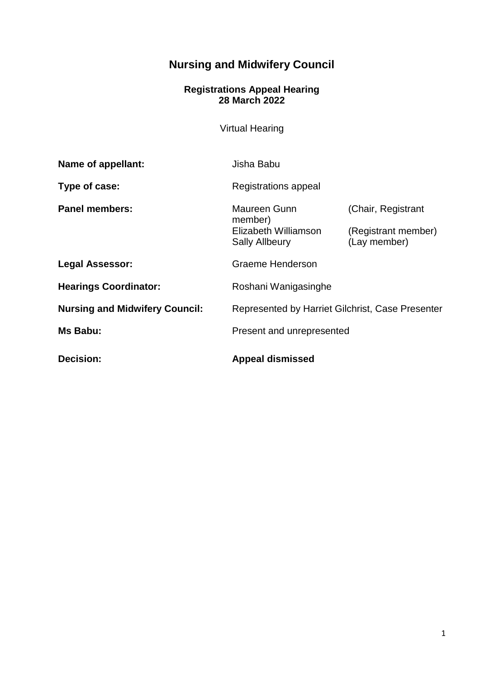# **Nursing and Midwifery Council**

#### **Registrations Appeal Hearing 28 March 2022**

Virtual Hearing

| Name of appellant:                    | Jisha Babu                                                               |                                                           |
|---------------------------------------|--------------------------------------------------------------------------|-----------------------------------------------------------|
| Type of case:                         | Registrations appeal                                                     |                                                           |
| <b>Panel members:</b>                 | Maureen Gunn<br>member)<br>Elizabeth Williamson<br><b>Sally Allbeury</b> | (Chair, Registrant<br>(Registrant member)<br>(Lay member) |
| <b>Legal Assessor:</b>                | Graeme Henderson                                                         |                                                           |
| <b>Hearings Coordinator:</b>          | Roshani Wanigasinghe                                                     |                                                           |
| <b>Nursing and Midwifery Council:</b> | Represented by Harriet Gilchrist, Case Presenter                         |                                                           |
| Ms Babu:                              | Present and unrepresented                                                |                                                           |
| Decision:                             | <b>Appeal dismissed</b>                                                  |                                                           |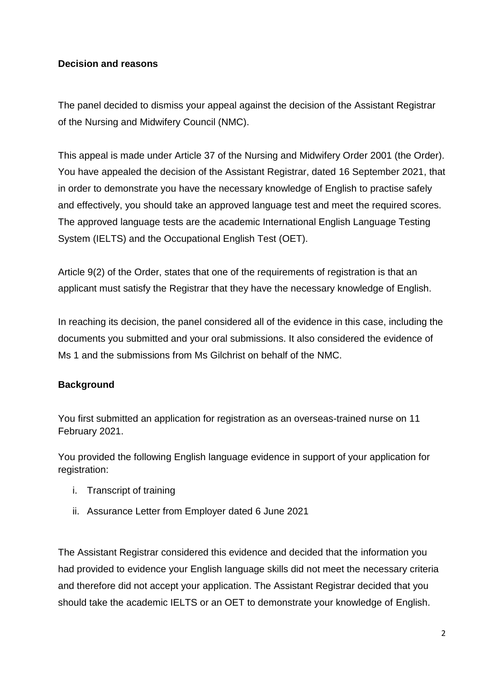# **Decision and reasons**

The panel decided to dismiss your appeal against the decision of the Assistant Registrar of the Nursing and Midwifery Council (NMC).

This appeal is made under Article 37 of the Nursing and Midwifery Order 2001 (the Order). You have appealed the decision of the Assistant Registrar, dated 16 September 2021, that in order to demonstrate you have the necessary knowledge of English to practise safely and effectively, you should take an approved language test and meet the required scores. The approved language tests are the academic International English Language Testing System (IELTS) and the Occupational English Test (OET).

Article 9(2) of the Order, states that one of the requirements of registration is that an applicant must satisfy the Registrar that they have the necessary knowledge of English.

In reaching its decision, the panel considered all of the evidence in this case, including the documents you submitted and your oral submissions. It also considered the evidence of Ms 1 and the submissions from Ms Gilchrist on behalf of the NMC.

# **Background**

You first submitted an application for registration as an overseas-trained nurse on 11 February 2021.

You provided the following English language evidence in support of your application for registration:

- i. Transcript of training
- ii. Assurance Letter from Employer dated 6 June 2021

The Assistant Registrar considered this evidence and decided that the information you had provided to evidence your English language skills did not meet the necessary criteria and therefore did not accept your application. The Assistant Registrar decided that you should take the academic IELTS or an OET to demonstrate your knowledge of English.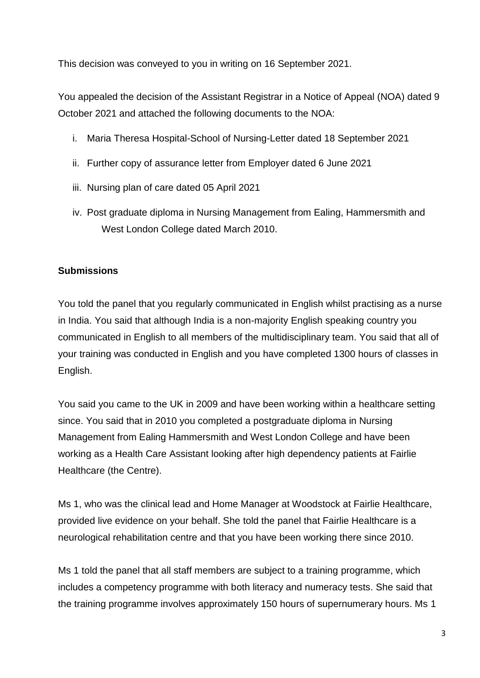This decision was conveyed to you in writing on 16 September 2021.

You appealed the decision of the Assistant Registrar in a Notice of Appeal (NOA) dated 9 October 2021 and attached the following documents to the NOA:

- i. Maria Theresa Hospital-School of Nursing-Letter dated 18 September 2021
- ii. Further copy of assurance letter from Employer dated 6 June 2021
- iii. Nursing plan of care dated 05 April 2021
- iv. Post graduate diploma in Nursing Management from Ealing, Hammersmith and West London College dated March 2010.

# **Submissions**

You told the panel that you regularly communicated in English whilst practising as a nurse in India. You said that although India is a non-majority English speaking country you communicated in English to all members of the multidisciplinary team. You said that all of your training was conducted in English and you have completed 1300 hours of classes in English.

You said you came to the UK in 2009 and have been working within a healthcare setting since. You said that in 2010 you completed a postgraduate diploma in Nursing Management from Ealing Hammersmith and West London College and have been working as a Health Care Assistant looking after high dependency patients at Fairlie Healthcare (the Centre).

Ms 1, who was the clinical lead and Home Manager at Woodstock at Fairlie Healthcare, provided live evidence on your behalf. She told the panel that Fairlie Healthcare is a neurological rehabilitation centre and that you have been working there since 2010.

Ms 1 told the panel that all staff members are subject to a training programme, which includes a competency programme with both literacy and numeracy tests. She said that the training programme involves approximately 150 hours of supernumerary hours. Ms 1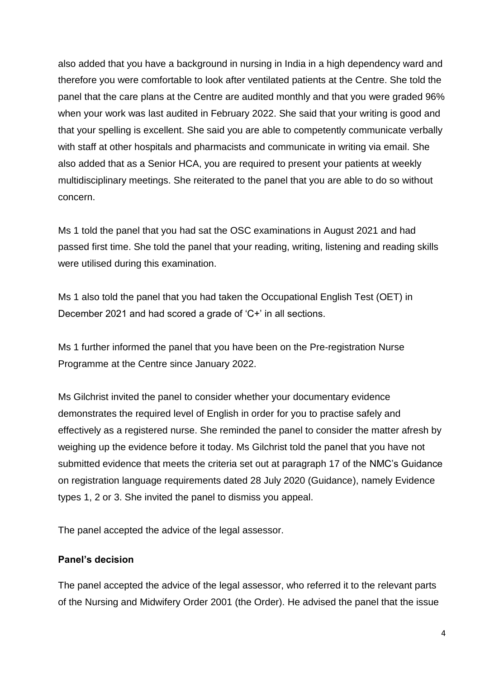also added that you have a background in nursing in India in a high dependency ward and therefore you were comfortable to look after ventilated patients at the Centre. She told the panel that the care plans at the Centre are audited monthly and that you were graded 96% when your work was last audited in February 2022. She said that your writing is good and that your spelling is excellent. She said you are able to competently communicate verbally with staff at other hospitals and pharmacists and communicate in writing via email. She also added that as a Senior HCA, you are required to present your patients at weekly multidisciplinary meetings. She reiterated to the panel that you are able to do so without concern.

Ms 1 told the panel that you had sat the OSC examinations in August 2021 and had passed first time. She told the panel that your reading, writing, listening and reading skills were utilised during this examination.

Ms 1 also told the panel that you had taken the Occupational English Test (OET) in December 2021 and had scored a grade of 'C+' in all sections.

Ms 1 further informed the panel that you have been on the Pre-registration Nurse Programme at the Centre since January 2022.

Ms Gilchrist invited the panel to consider whether your documentary evidence demonstrates the required level of English in order for you to practise safely and effectively as a registered nurse. She reminded the panel to consider the matter afresh by weighing up the evidence before it today. Ms Gilchrist told the panel that you have not submitted evidence that meets the criteria set out at paragraph 17 of the NMC's Guidance on registration language requirements dated 28 July 2020 (Guidance), namely Evidence types 1, 2 or 3. She invited the panel to dismiss you appeal.

The panel accepted the advice of the legal assessor.

### **Panel's decision**

The panel accepted the advice of the legal assessor, who referred it to the relevant parts of the Nursing and Midwifery Order 2001 (the Order). He advised the panel that the issue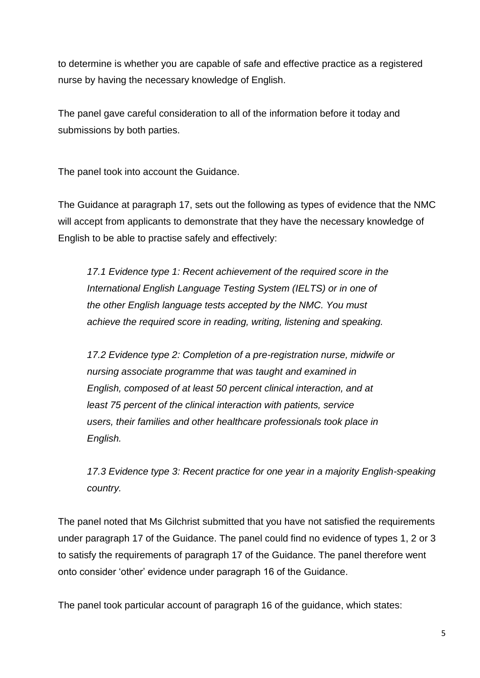to determine is whether you are capable of safe and effective practice as a registered nurse by having the necessary knowledge of English.

The panel gave careful consideration to all of the information before it today and submissions by both parties.

The panel took into account the Guidance.

The Guidance at paragraph 17, sets out the following as types of evidence that the NMC will accept from applicants to demonstrate that they have the necessary knowledge of English to be able to practise safely and effectively:

*17.1 Evidence type 1: Recent achievement of the required score in the International English Language Testing System (IELTS) or in one of the other English language tests accepted by the NMC. You must achieve the required score in reading, writing, listening and speaking.* 

*17.2 Evidence type 2: Completion of a pre-registration nurse, midwife or nursing associate programme that was taught and examined in English, composed of at least 50 percent clinical interaction, and at least 75 percent of the clinical interaction with patients, service users, their families and other healthcare professionals took place in English.*

*17.3 Evidence type 3: Recent practice for one year in a majority English-speaking country.*

The panel noted that Ms Gilchrist submitted that you have not satisfied the requirements under paragraph 17 of the Guidance. The panel could find no evidence of types 1, 2 or 3 to satisfy the requirements of paragraph 17 of the Guidance. The panel therefore went onto consider 'other' evidence under paragraph 16 of the Guidance.

The panel took particular account of paragraph 16 of the guidance, which states: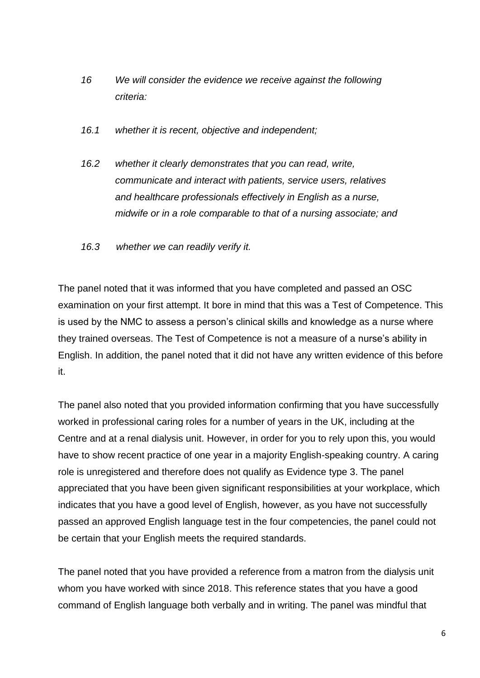- *16 We will consider the evidence we receive against the following criteria:*
- *16.1 whether it is recent, objective and independent;*
- *16.2 whether it clearly demonstrates that you can read, write, communicate and interact with patients, service users, relatives and healthcare professionals effectively in English as a nurse, midwife or in a role comparable to that of a nursing associate; and*
- *16.3 whether we can readily verify it.*

The panel noted that it was informed that you have completed and passed an OSC examination on your first attempt. It bore in mind that this was a Test of Competence. This is used by the NMC to assess a person's clinical skills and knowledge as a nurse where they trained overseas. The Test of Competence is not a measure of a nurse's ability in English. In addition, the panel noted that it did not have any written evidence of this before it.

The panel also noted that you provided information confirming that you have successfully worked in professional caring roles for a number of years in the UK, including at the Centre and at a renal dialysis unit. However, in order for you to rely upon this, you would have to show recent practice of one year in a majority English-speaking country. A caring role is unregistered and therefore does not qualify as Evidence type 3. The panel appreciated that you have been given significant responsibilities at your workplace, which indicates that you have a good level of English, however, as you have not successfully passed an approved English language test in the four competencies, the panel could not be certain that your English meets the required standards.

The panel noted that you have provided a reference from a matron from the dialysis unit whom you have worked with since 2018. This reference states that you have a good command of English language both verbally and in writing. The panel was mindful that